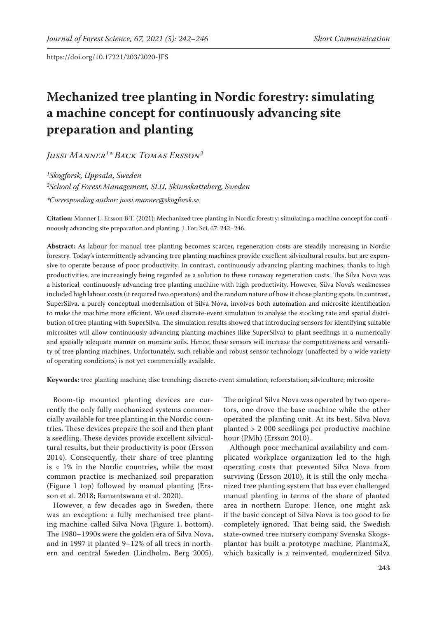# **Mechanized tree planting in Nordic forestry: simulating a machine concept for continuously advancing site preparation and planting**

*Jussi Manner1 \* Back Tomas Ersson2*

*1 Skogforsk, Uppsala, Sweden 2 School of Forest Management, SLU, Skinnskatteberg, Sweden \*Corresponding author: jussi.manner@skogforsk.se*

**Citation:** Manner J., Ersson B.T. (2021): Mechanized tree planting in Nordic forestry: simulating a machine concept for continuously advancing site preparation and planting. J. For. Sci, 67: 242–246.

**Abstract:** As labour for manual tree planting becomes scarcer, regeneration costs are steadily increasing in Nordic forestry. Today's intermittently advancing tree planting machines provide excellent silvicultural results, but are expensive to operate because of poor productivity. In contrast, continuously advancing planting machines, thanks to high productivities, are increasingly being regarded as a solution to these runaway regeneration costs. The Silva Nova was a historical, continuously advancing tree planting machine with high productivity. However, Silva Nova's weaknesses included high labour costs (it required two operators) and the random nature of how it chose planting spots. In contrast, SuperSilva, a purely conceptual modernisation of Silva Nova, involves both automation and microsite identification to make the machine more efficient. We used discrete-event simulation to analyse the stocking rate and spatial distribution of tree planting with SuperSilva. The simulation results showed that introducing sensors for identifying suitable microsites will allow continuously advancing planting machines (like SuperSilva) to plant seedlings in a numerically and spatially adequate manner on moraine soils. Hence, these sensors will increase the competitiveness and versatility of tree planting machines. Unfortunately, such reliable and robust sensor technology (unaffected by a wide variety of operating conditions) is not yet commercially available.

**Keywords:** tree planting machine; disc trenching; discrete-event simulation; reforestation; silviculture; microsite

Boom-tip mounted planting devices are currently the only fully mechanized systems commercially available for tree planting in the Nordic countries. These devices prepare the soil and then plant a seedling. These devices provide excellent silvicultural results, but their productivity is poor (Ersson 2014). Consequently, their share of tree planting  $is < 1\%$  in the Nordic countries, while the most common practice is mechanized soil preparation (Figure 1 top) followed by manual planting (Ersson et al. 2018; Ramantswana et al. 2020).

However, a few decades ago in Sweden, there was an exception: a fully mechanised tree planting machine called Silva Nova (Figure 1, bottom). The 1980–1990s were the golden era of Silva Nova, and in 1997 it planted 9–12% of all trees in northern and central Sweden (Lindholm, Berg 2005).

The original Silva Nova was operated by two operators, one drove the base machine while the other operated the planting unit. At its best, Silva Nova planted > 2 000 seedlings per productive machine hour (PMh) (Ersson 2010).

Although poor mechanical availability and complicated workplace organization led to the high operating costs that prevented Silva Nova from surviving (Ersson 2010), it is still the only mechanized tree planting system that has ever challenged manual planting in terms of the share of planted area in northern Europe. Hence, one might ask if the basic concept of Silva Nova is too good to be completely ignored. That being said, the Swedish state-owned tree nursery company Svenska Skogsplantor has built a prototype machine, PlantmaX, which basically is a reinvented, modernized Silva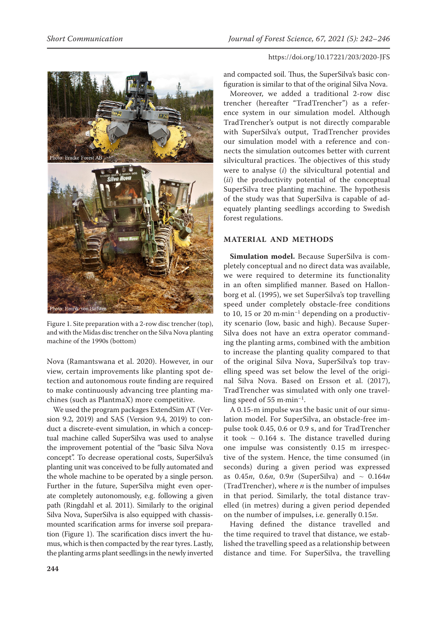

Figure 1. Site preparation with a 2-row disc trencher (top), and with the Midas disc trencher on the Silva Nova planting machine of the 1990s (bottom)

Nova (Ramantswana et al. 2020). However, in our view, certain improvements like planting spot detection and autonomous route finding are required to make continuously advancing tree planting machines (such as PlantmaX) more competitive.

We used the program packages ExtendSim AT (Version 9.2, 2019) and SAS (Version 9.4, 2019) to conduct a discrete-event simulation, in which a conceptual machine called SuperSilva was used to analyse the improvement potential of the "basic Silva Nova concept". To decrease operational costs, SuperSilva's planting unit was conceived to be fully automated and the whole machine to be operated by a single person. Further in the future, SuperSilva might even operate completely autonomously, e.g. following a given path (Ringdahl et al. 2011). Similarly to the original Silva Nova, SuperSilva is also equipped with chassismounted scarification arms for inverse soil preparation (Figure 1). The scarification discs invert the humus, which is then compacted by the rear tyres. Lastly, the planting arms plant seedlings in the newly inverted and compacted soil. Thus, the SuperSilva's basic configuration is similar to that of the original Silva Nova.

Moreover, we added a traditional 2-row disc trencher (hereafter "TradTrencher") as a reference system in our simulation model. Although TradTrencher's output is not directly comparable with SuperSilva's output, TradTrencher provides our simulation model with a reference and connects the simulation outcomes better with current silvicultural practices. The objectives of this study were to analyse (*i*) the silvicultural potential and (*ii*) the productivity potential of the conceptual SuperSilva tree planting machine. The hypothesis of the study was that SuperSilva is capable of adequately planting seedlings according to Swedish forest regulations.

# **MATERIAL AND METHODS**

**Simulation model.** Because SuperSilva is completely conceptual and no direct data was available, we were required to determine its functionality in an often simplified manner. Based on Hallonborg et al. (1995), we set SuperSilva's top travelling speed under completely obstacle-free conditions to 10, 15 or 20 m·min<sup>-1</sup> depending on a productivity scenario (low, basic and high). Because Super-Silva does not have an extra operator commanding the planting arms, combined with the ambition to increase the planting quality compared to that of the original Silva Nova, SuperSilva's top travelling speed was set below the level of the original Silva Nova. Based on Ersson et al. (2017), TradTrencher was simulated with only one travelling speed of 55 m $\cdot$ min<sup>-1</sup>.

A 0.15-m impulse was the basic unit of our simulation model. For SuperSilva, an obstacle-free impulse took 0.45, 0.6 or 0.9 s, and for TradTrencher it took  $\sim$  0.164 s. The distance travelled during one impulse was consistently 0.15 m irrespective of the system. Hence, the time consumed (in seconds) during a given period was expressed as 0.45*n*, 0.6*n*, 0.9*n* (SuperSilva) and ⁓ 0.164*n* (TradTrencher), where *n* is the number of impulses in that period. Similarly, the total distance travelled (in metres) during a given period depended on the number of impulses, i.e. generally 0.15*n*.

Having defined the distance travelled and the time required to travel that distance, we established the travelling speed as a relationship between distance and time. For SuperSilva, the travelling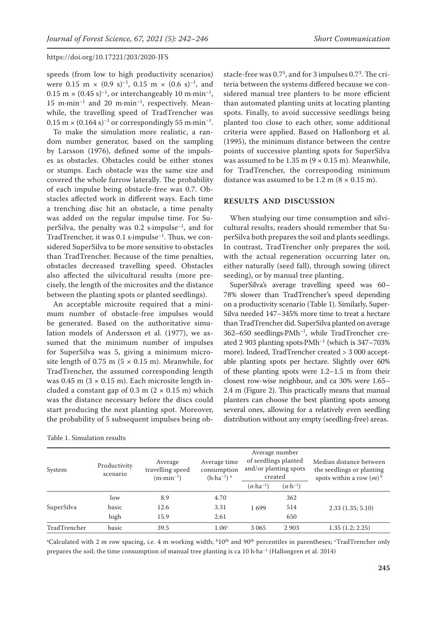speeds (from low to high productivity scenarios) were 0.15 m  $\times$  (0.9 s)<sup>-1</sup>, 0.15 m  $\times$  (0.6 s)<sup>-1</sup>, and 0.15 m  $\times$  (0.45 s)<sup>-1</sup>, or interchangeably 10 m·min<sup>-1</sup>, 15 m·min–1 and 20 m·min–1, respectively. Meanwhile, the travelling speed of TradTrencher was  $0.15 \text{ m} \times (0.164 \text{ s})^{-1}$  or correspondingly 55 m·min<sup>-1</sup>.

To make the simulation more realistic, a random number generator, based on the sampling by Larsson (1976), defined some of the impulses as obstacles. Obstacles could be either stones or stumps. Each obstacle was the same size and covered the whole furrow laterally. The probability of each impulse being obstacle-free was 0.7. Obstacles affected work in different ways. Each time a trenching disc hit an obstacle, a time penalty was added on the regular impulse time. For SuperSilva, the penalty was  $0.2$  s-impulse<sup>-1</sup>, and for TradTrencher, it was 0.1 s·impulse<sup>-1</sup>. Thus, we considered SuperSilva to be more sensitive to obstacles than TradTrencher. Because of the time penalties, obstacles decreased travelling speed. Obstacles also affected the silvicultural results (more precisely, the length of the microsites and the distance between the planting spots or planted seedlings).

An acceptable microsite required that a minimum number of obstacle-free impulses would be generated. Based on the authoritative simulation models of Andersson et al. (1977), we assumed that the minimum number of impulses for SuperSilva was 5, giving a minimum microsite length of 0.75 m  $(5 \times 0.15 \text{ m})$ . Meanwhile, for TradTrencher, the assumed corresponding length was 0.45 m  $(3 \times 0.15 \text{ m})$ . Each microsite length included a constant gap of 0.3 m  $(2 \times 0.15 \text{ m})$  which was the distance necessary before the discs could start producing the next planting spot. Moreover, the probability of 5 subsequent impulses being ob-

| System       | Productivity<br>scenario | Average<br>travelling speed<br>$(m \cdot min^{-1})$ | Average time<br>consumption<br>$(h \cdot ha^{-1})$ <sup>a</sup> | Average number<br>of seedlings planted<br>and/or planting spots<br>created |                    | Median distance between<br>the seedlings or planting<br>spots within a row $(m)^b$ |
|--------------|--------------------------|-----------------------------------------------------|-----------------------------------------------------------------|----------------------------------------------------------------------------|--------------------|------------------------------------------------------------------------------------|
|              |                          |                                                     |                                                                 | ( <i>n</i> ·ha <sup>-1</sup> )                                             | $(n \cdot h^{-1})$ |                                                                                    |
| SuperSilva   | low                      | 8.9                                                 | 4.70                                                            | 1699                                                                       | 362                | 2.33(1.35; 5.10)                                                                   |
|              | basic                    | 12.6                                                | 3.31                                                            |                                                                            | 514                |                                                                                    |
|              | high                     | 15.9                                                | 2.61                                                            |                                                                            | 650                |                                                                                    |
| TradTrencher | basic                    | 39.5                                                | 1.06 <sup>c</sup>                                               | 3 0 6 5                                                                    | 2 9 0 3            | 1.35(1.2; 2.25)                                                                    |

Table 1. Simulation results

stacle-free was  $0.7<sup>5</sup>$ , and for 3 impulses  $0.7<sup>3</sup>$ . The criteria between the systems differed because we considered manual tree planters to be more efficient than automated planting units at locating planting spots. Finally, to avoid successive seedlings being planted too close to each other, some additional criteria were applied. Based on Hallonborg et al. (1995), the minimum distance between the centre points of successive planting spots for SuperSilva was assumed to be  $1.35$  m  $(9 \times 0.15$  m). Meanwhile, for TradTrencher, the corresponding minimum distance was assumed to be 1.2 m  $(8 \times 0.15 \text{ m})$ .

### **RESULTS AND DISCUSSION**

When studying our time consumption and silvicultural results, readers should remember that SuperSilva both prepares the soil and plants seedlings. In contrast, TradTrencher only prepares the soil, with the actual regeneration occurring later on, either naturally (seed fall), through sowing (direct seeding), or by manual tree planting.

SuperSilva's average travelling speed was 60– 78% slower than TradTrencher's speed depending on a productivity scenario (Table 1). Similarly, Super-Silva needed 147–345% more time to treat a hectare than TradTrencher did. SuperSilva planted on average 362–650 seedlings·PMh–1, while TradTrencher created 2 903 planting spots·PMh–1 (which is 347–703% more). Indeed, TradTrencher created > 3 000 acceptable planting spots per hectare. Slightly over 60% of these planting spots were 1.2–1.5 m from their closest row-wise neighbour, and ca 30% were 1.65– 2.4 m (Figure 2). This practically means that manual planters can choose the best planting spots among several ones, allowing for a relatively even seedling distribution without any empty (seedling-free) areas.

<sup>a</sup>Calculated with 2 m row spacing, i.e. 4 m working width; <sup>b</sup>10<sup>th</sup> and 90<sup>th</sup> percentiles in parentheses; <sup>c</sup>TradTrencher only prepares the soil; the time consumption of manual tree planting is ca 10 h·ha–1 (Hallongren et al. 2014)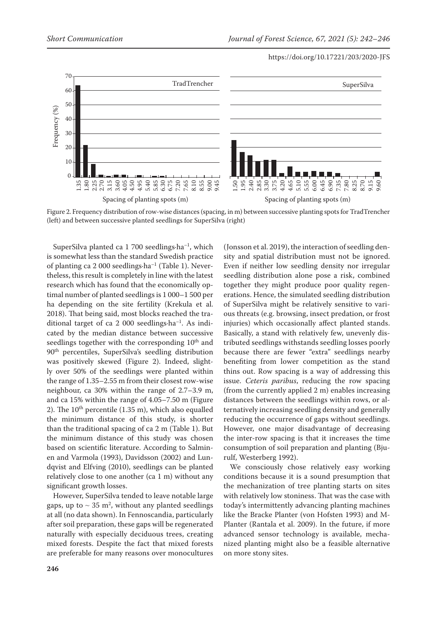

Figure 2. Frequency distribution of row-wise distances (spacing, in m) between successive planting spots for TradTrencher (left) and between successive planted seedlings for SuperSilva (right)

SuperSilva planted ca  $1700$  seedlings $\cdot$ ha<sup>-1</sup>, which is somewhat less than the standard Swedish practice of planting ca 2 000 seedlings·ha–1 (Table 1). Nevertheless, this result is completely in line with the latest research which has found that the economically optimal number of planted seedlings is 1 000–1 500 per ha depending on the site fertility (Krekula et al. 2018). That being said, most blocks reached the traditional target of ca 2 000 seedlings·ha–1. As indicated by the median distance between successive seedlings together with the corresponding 10<sup>th</sup> and 90th percentiles, SuperSilva's seedling distribution was positively skewed (Figure 2). Indeed, slightly over 50% of the seedlings were planted within the range of 1.35–2.55 m from their closest row-wise neighbour, ca 30% within the range of 2.7–3.9 m, and ca 15% within the range of 4.05–7.50 m (Figure 2). The  $10^{th}$  percentile (1.35 m), which also equalled the minimum distance of this study, is shorter than the traditional spacing of ca 2 m (Table 1). But the minimum distance of this study was chosen based on scientific literature. According to Salminen and Varmola (1993), Davidsson (2002) and Lundqvist and Elfving (2010), seedlings can be planted relatively close to one another (ca 1 m) without any significant growth losses.

However, SuperSilva tended to leave notable large gaps, up to  $\sim 35$  m<sup>2</sup>, without any planted seedlings at all (no data shown). In Fennoscandia, particularly after soil preparation, these gaps will be regenerated naturally with especially deciduous trees, creating mixed forests. Despite the fact that mixed forests are preferable for many reasons over monocultures

(Jonsson et al. 2019), the interaction of seedling density and spatial distribution must not be ignored. Even if neither low seedling density nor irregular seedling distribution alone pose a risk, combined together they might produce poor quality regenerations. Hence, the simulated seedling distribution of SuperSilva might be relatively sensitive to various threats (e.g. browsing, insect predation, or frost injuries) which occasionally affect planted stands. Basically, a stand with relatively few, unevenly distributed seedlings withstands seedling losses poorly because there are fewer "extra" seedlings nearby benefiting from lower competition as the stand thins out. Row spacing is a way of addressing this issue. *Ceteris paribus*, reducing the row spacing (from the currently applied 2 m) enables increasing distances between the seedlings within rows, or alternatively increasing seedling density and generally reducing the occurrence of gaps without seedlings. However, one major disadvantage of decreasing the inter-row spacing is that it increases the time consumption of soil preparation and planting (Bjurulf, Westerberg 1992).

We consciously chose relatively easy working conditions because it is a sound presumption that the mechanization of tree planting starts on sites with relatively low stoniness. That was the case with today's intermittently advancing planting machines like the Bracke Planter (von Hofsten 1993) and M-Planter (Rantala et al. 2009). In the future, if more advanced sensor technology is available, mechanized planting might also be a feasible alternative on more stony sites.